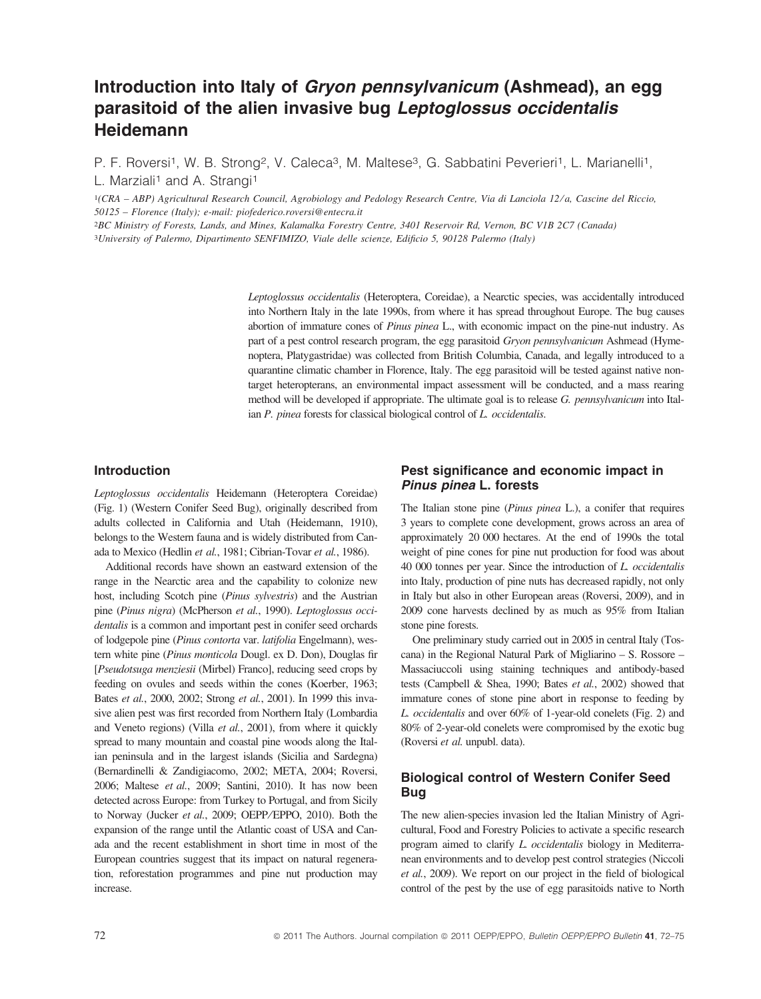# Introduction into Italy of Gryon pennsylvanicum (Ashmead), an egg parasitoid of the alien invasive bug Leptoglossus occidentalis **Heidemann**

P. F. Roversi<sup>1</sup>, W. B. Strong<sup>2</sup>, V. Caleca<sup>3</sup>, M. Maltese<sup>3</sup>, G. Sabbatini Peverieri<sup>1</sup>, L. Marianelli<sup>1</sup>, L. Marziali<sup>1</sup> and A. Strangi<sup>1</sup>

1(CRA – ABP) Agricultural Research Council, Agrobiology and Pedology Research Centre, Via di Lanciola 12/a, Cascine del Riccio, 50125 – Florence (Italy); e-mail: piofederico.roversi@entecra.it

2BC Ministry of Forests, Lands, and Mines, Kalamalka Forestry Centre, 3401 Reservoir Rd, Vernon, BC V1B 2C7 (Canada)

3University of Palermo, Dipartimento SENFIMIZO, Viale delle scienze, Edificio 5, 90128 Palermo (Italy)

Leptoglossus occidentalis (Heteroptera, Coreidae), a Nearctic species, was accidentally introduced into Northern Italy in the late 1990s, from where it has spread throughout Europe. The bug causes abortion of immature cones of Pinus pinea L., with economic impact on the pine-nut industry. As part of a pest control research program, the egg parasitoid Gryon pennsylvanicum Ashmead (Hymenoptera, Platygastridae) was collected from British Columbia, Canada, and legally introduced to a quarantine climatic chamber in Florence, Italy. The egg parasitoid will be tested against native nontarget heteropterans, an environmental impact assessment will be conducted, and a mass rearing method will be developed if appropriate. The ultimate goal is to release G. pennsylvanicum into Italian P. pinea forests for classical biological control of L. occidentalis.

### Introduction

Leptoglossus occidentalis Heidemann (Heteroptera Coreidae) (Fig. 1) (Western Conifer Seed Bug), originally described from adults collected in California and Utah (Heidemann, 1910), belongs to the Western fauna and is widely distributed from Canada to Mexico (Hedlin et al., 1981; Cibrian-Tovar et al., 1986).

Additional records have shown an eastward extension of the range in the Nearctic area and the capability to colonize new host, including Scotch pine (Pinus sylvestris) and the Austrian pine (Pinus nigra) (McPherson et al., 1990). Leptoglossus occidentalis is a common and important pest in conifer seed orchards of lodgepole pine (Pinus contorta var. latifolia Engelmann), western white pine (Pinus monticola Dougl. ex D. Don), Douglas fir [Pseudotsuga menziesii (Mirbel) Franco], reducing seed crops by feeding on ovules and seeds within the cones (Koerber, 1963; Bates et al., 2000, 2002; Strong et al., 2001). In 1999 this invasive alien pest was first recorded from Northern Italy (Lombardia and Veneto regions) (Villa et al., 2001), from where it quickly spread to many mountain and coastal pine woods along the Italian peninsula and in the largest islands (Sicilia and Sardegna) (Bernardinelli & Zandigiacomo, 2002; META, 2004; Roversi, 2006; Maltese et al., 2009; Santini, 2010). It has now been detected across Europe: from Turkey to Portugal, and from Sicily to Norway (Jucker et al., 2009; OEPP⁄EPPO, 2010). Both the expansion of the range until the Atlantic coast of USA and Canada and the recent establishment in short time in most of the European countries suggest that its impact on natural regeneration, reforestation programmes and pine nut production may increase.

### Pest significance and economic impact in Pinus pinea L. forests

The Italian stone pine (Pinus pinea L.), a conifer that requires 3 years to complete cone development, grows across an area of approximately 20 000 hectares. At the end of 1990s the total weight of pine cones for pine nut production for food was about 40 000 tonnes per year. Since the introduction of L. occidentalis into Italy, production of pine nuts has decreased rapidly, not only in Italy but also in other European areas (Roversi, 2009), and in 2009 cone harvests declined by as much as 95% from Italian stone pine forests.

One preliminary study carried out in 2005 in central Italy (Toscana) in the Regional Natural Park of Migliarino – S. Rossore – Massaciuccoli using staining techniques and antibody-based tests (Campbell & Shea, 1990; Bates et al., 2002) showed that immature cones of stone pine abort in response to feeding by L. occidentalis and over 60% of 1-year-old conelets (Fig. 2) and 80% of 2-year-old conelets were compromised by the exotic bug (Roversi et al. unpubl. data).

## Biological control of Western Conifer Seed Bug

The new alien-species invasion led the Italian Ministry of Agricultural, Food and Forestry Policies to activate a specific research program aimed to clarify L. occidentalis biology in Mediterranean environments and to develop pest control strategies (Niccoli et al., 2009). We report on our project in the field of biological control of the pest by the use of egg parasitoids native to North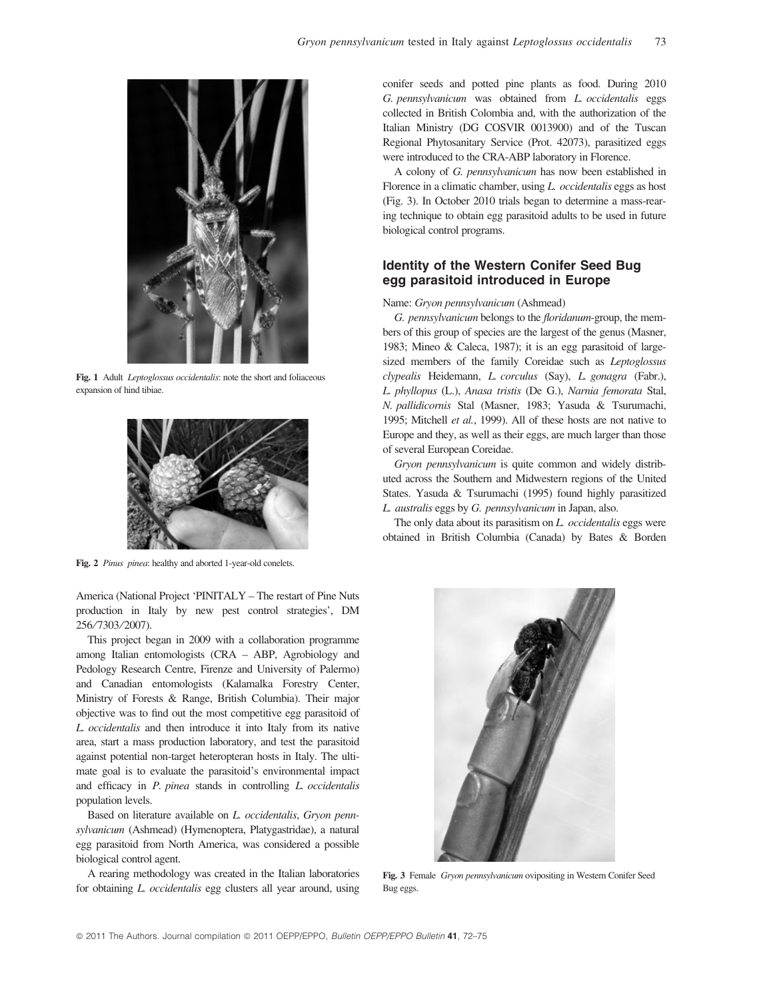

Fig. 1 Adult Leptoglossus occidentalis: note the short and foliaceous expansion of hind tibiae.



Fig. 2 Pinus pinea: healthy and aborted 1-year-old conelets.

America (National Project 'PINITALY – The restart of Pine Nuts production in Italy by new pest control strategies', DM 256 ⁄ 7303 ⁄ 2007).

This project began in 2009 with a collaboration programme among Italian entomologists (CRA – ABP, Agrobiology and Pedology Research Centre, Firenze and University of Palermo) and Canadian entomologists (Kalamalka Forestry Center, Ministry of Forests & Range, British Columbia). Their major objective was to find out the most competitive egg parasitoid of L. occidentalis and then introduce it into Italy from its native area, start a mass production laboratory, and test the parasitoid against potential non-target heteropteran hosts in Italy. The ultimate goal is to evaluate the parasitoid's environmental impact and efficacy in P. pinea stands in controlling L. occidentalis population levels.

Based on literature available on L. occidentalis, Gryon pennsylvanicum (Ashmead) (Hymenoptera, Platygastridae), a natural egg parasitoid from North America, was considered a possible biological control agent.

A rearing methodology was created in the Italian laboratories for obtaining L. occidentalis egg clusters all year around, using conifer seeds and potted pine plants as food. During 2010 G. pennsylvanicum was obtained from L. occidentalis eggs collected in British Colombia and, with the authorization of the Italian Ministry (DG COSVIR 0013900) and of the Tuscan Regional Phytosanitary Service (Prot. 42073), parasitized eggs were introduced to the CRA-ABP laboratory in Florence.

A colony of G. pennsylvanicum has now been established in Florence in a climatic chamber, using L. occidentalis eggs as host (Fig. 3). In October 2010 trials began to determine a mass-rearing technique to obtain egg parasitoid adults to be used in future biological control programs.

### Identity of the Western Conifer Seed Bug egg parasitoid introduced in Europe

#### Name: Gryon pennsylvanicum (Ashmead)

G. pennsylvanicum belongs to the floridanum-group, the members of this group of species are the largest of the genus (Masner, 1983; Mineo & Caleca, 1987); it is an egg parasitoid of largesized members of the family Coreidae such as *Leptoglossus* clypealis Heidemann, L. corculus (Say), L. gonagra (Fabr.), L. phyllopus (L.), Anasa tristis (De G.), Narnia femorata Stal, N. pallidicornis Stal (Masner, 1983; Yasuda & Tsurumachi, 1995; Mitchell et al., 1999). All of these hosts are not native to Europe and they, as well as their eggs, are much larger than those of several European Coreidae.

Gryon pennsylvanicum is quite common and widely distributed across the Southern and Midwestern regions of the United States. Yasuda & Tsurumachi (1995) found highly parasitized L. australis eggs by G. pennsylvanicum in Japan, also.

The only data about its parasitism on  $L$ , *occidentalis* eggs were obtained in British Columbia (Canada) by Bates & Borden



Fig. 3 Female Gryon pennsylvanicum ovipositing in Western Conifer Seed Bug eggs.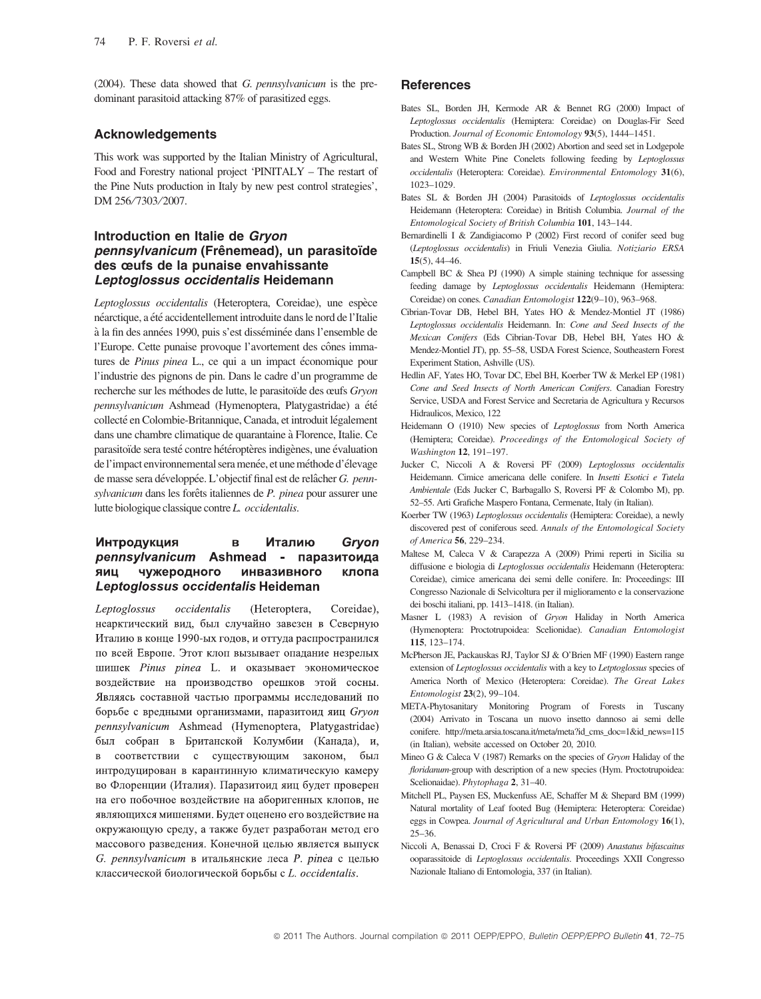(2004). These data showed that G. pennsylvanicum is the predominant parasitoid attacking 87% of parasitized eggs.

### Acknowledgements

This work was supported by the Italian Ministry of Agricultural, Food and Forestry national project 'PINITALY – The restart of the Pine Nuts production in Italy by new pest control strategies', DM 256/7303/2007.

### Introduction en Italie de Gryon pennsylvanicum (Frênemead), un parasitoïde des œufs de la punaise envahissante Leptoglossus occidentalis Heidemann

Leptoglossus occidentalis (Heteroptera, Coreidae), une espèce néarctique, a été accidentellement introduite dans le nord de l'Italie à la fin des années 1990, puis s'est disséminée dans l'ensemble de l'Europe. Cette punaise provoque l'avortement des cônes immatures de *Pinus pinea* L., ce qui a un impact économique pour l'industrie des pignons de pin. Dans le cadre d'un programme de recherche sur les méthodes de lutte, le parasitoïde des œufs Gryon pennsylvanicum Ashmead (Hymenoptera, Platygastridae) a été collecté en Colombie-Britannique, Canada, et introduit légalement dans une chambre climatique de quarantaine à Florence, Italie. Ce parasitoïde sera testé contre hétéroptères indigènes, une évaluation de l'impact environnemental sera menée, et une méthode d'élevage de masse sera développée. L'objectif final est de relâcher G. pennsylvanicum dans les forêts italiennes de P. pinea pour assurer une lutte biologique classique contre L. occidentalis.

#### **Интродукция**  $\overline{B}$ Италию Gryon pennsylvanicum Ashmead - паразитоида ЯИЦ чужеродного инвазивного клопа Leptoglossus occidentalis Heideman

Leptoglossus occidentalis (Heteroptera, Coreidae), неарктический вид, был случайно завезен в Северную Италию в конце 1990-ых годов, и оттуда распространился по всей Европе. Этот клоп вызывает опадание незрелых шишек Pinus pinea L. и оказывает экономическое воздействие на производство орешков этой сосны. Являясь составной частью программы исследований по борьбе с вредными организмами, паразитоид яиц Gryon pennsylvanicum Ashmead (Hymenoptera, Platygastridae) был собран в Британской Колумбии (Канада), и, в соответствии с существующим законом, был интродуцирован в карантинную климатическую камеру во Флоренции (Италия). Паразитоид яиц будет проверен на его побочное воздействие на аборигенных клопов, не являющихся мишенями. Будет оценено его воздействие на окружающую среду, а также будет разработан метод его массового разведения. Конечной целью является выпуск G. pennsylvanicum в итальянские леса P. pinea с целью классической биологической борьбы с L. occidentalis.

### References

- Bates SL, Borden JH, Kermode AR & Bennet RG (2000) Impact of Leptoglossus occidentalis (Hemiptera: Coreidae) on Douglas-Fir Seed Production. Journal of Economic Entomology 93(5), 1444–1451.
- Bates SL, Strong WB & Borden JH (2002) Abortion and seed set in Lodgepole and Western White Pine Conelets following feeding by Leptoglossus occidentalis (Heteroptera: Coreidae). Environmental Entomology 31(6), 1023–1029.
- Bates SL & Borden JH (2004) Parasitoids of Leptoglossus occidentalis Heidemann (Heteroptera: Coreidae) in British Columbia. Journal of the Entomological Society of British Columbia 101, 143–144.
- Bernardinelli I & Zandigiacomo P (2002) First record of conifer seed bug (Leptoglossus occidentalis) in Friuli Venezia Giulia. Notiziario ERSA  $15(5)$ ,  $44-46$ .
- Campbell BC  $\&$  Shea PJ (1990) A simple staining technique for assessing feeding damage by Leptoglossus occidentalis Heidemann (Hemiptera: Coreidae) on cones. Canadian Entomologist 122(9-10), 963-968.
- Cibrian-Tovar DB, Hebel BH, Yates HO & Mendez-Montiel JT (1986) Leptoglossus occidentalis Heidemann. In: Cone and Seed Insects of the Mexican Conifers (Eds Cibrian-Tovar DB, Hebel BH, Yates HO & Mendez-Montiel JT), pp. 55–58, USDA Forest Science, Southeastern Forest Experiment Station, Ashville (US).
- Hedlin AF, Yates HO, Tovar DC, Ebel BH, Koerber TW & Merkel EP (1981) Cone and Seed Insects of North American Conifers. Canadian Forestry Service, USDA and Forest Service and Secretaria de Agricultura y Recursos Hidraulicos, Mexico, 122
- Heidemann O (1910) New species of Leptoglossus from North America (Hemiptera; Coreidae). Proceedings of the Entomological Society of Washington 12, 191–197.
- Jucker C, Niccoli A & Roversi PF (2009) Leptoglossus occidentalis Heidemann. Cimice americana delle conifere. In Insetti Esotici e Tutela Ambientale (Eds Jucker C, Barbagallo S, Roversi PF & Colombo M), pp. 52–55. Arti Grafiche Maspero Fontana, Cermenate, Italy (in Italian).
- Koerber TW (1963) Leptoglossus occidentalis (Hemiptera: Coreidae), a newly discovered pest of coniferous seed. Annals of the Entomological Society of America 56, 229–234.
- Maltese M, Caleca V & Carapezza A (2009) Primi reperti in Sicilia su diffusione e biologia di Leptoglossus occidentalis Heidemann (Heteroptera: Coreidae), cimice americana dei semi delle conifere. In: Proceedings: III Congresso Nazionale di Selvicoltura per il miglioramento e la conservazione dei boschi italiani, pp. 1413–1418. (in Italian).
- Masner L (1983) A revision of Gryon Haliday in North America (Hymenoptera: Proctotrupoidea: Scelionidae). Canadian Entomologist 115, 123–174.
- McPherson JE, Packauskas RJ, Taylor SJ & O'Brien MF (1990) Eastern range extension of Leptoglossus occidentalis with a key to Letptoglossus species of America North of Mexico (Heteroptera: Coreidae). The Great Lakes Entomologist 23(2), 99–104.
- META-Phytosanitary Monitoring Program of Forests in Tuscany (2004) Arrivato in Toscana un nuovo insetto dannoso ai semi delle conifere. http://meta.arsia.toscana.it/meta/meta?id\_cms\_doc=1&id\_news=115 (in Italian), website accessed on October 20, 2010.
- Mineo G & Caleca V (1987) Remarks on the species of Gryon Haliday of the floridanum-group with description of a new species (Hym. Proctotrupoidea: Scelionaidae). Phytophaga 2, 31–40.
- Mitchell PL, Paysen ES, Muckenfuss AE, Schaffer M & Shepard BM (1999) Natural mortality of Leaf footed Bug (Hemiptera: Heteroptera: Coreidae) eggs in Cowpea. Journal of Agricultural and Urban Entomology 16(1), 25–36.
- Niccoli A, Benassai D, Croci F & Roversi PF (2009) Anastatus bifascaitus ooparassitoide di Leptoglossus occidentalis. Proceedings XXII Congresso Nazionale Italiano di Entomologia, 337 (in Italian).